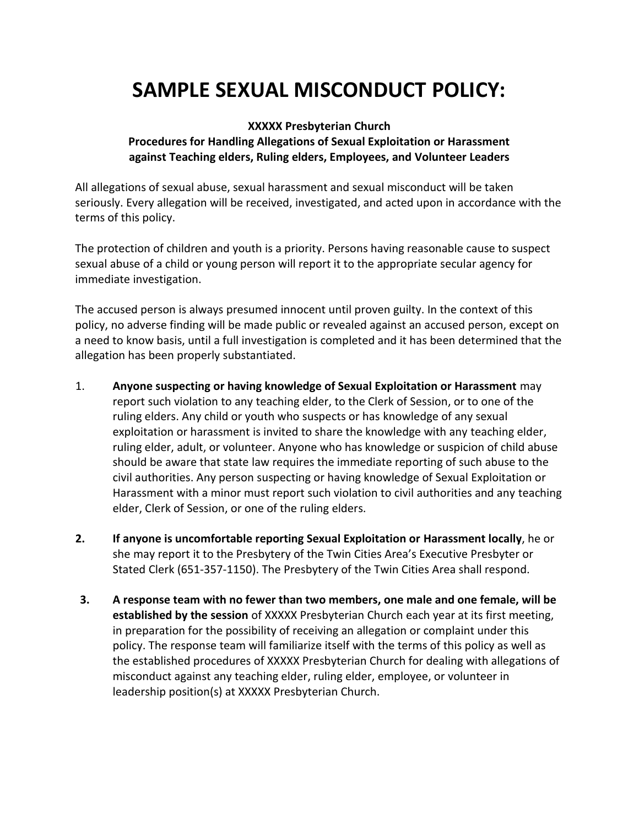## **SAMPLE SEXUAL MISCONDUCT POLICY:**

## **XXXXX Presbyterian Church Procedures for Handling Allegations of Sexual Exploitation or Harassment against Teaching elders, Ruling elders, Employees, and Volunteer Leaders**

All allegations of sexual abuse, sexual harassment and sexual misconduct will be taken seriously. Every allegation will be received, investigated, and acted upon in accordance with the terms of this policy.

The protection of children and youth is a priority. Persons having reasonable cause to suspect sexual abuse of a child or young person will report it to the appropriate secular agency for immediate investigation.

The accused person is always presumed innocent until proven guilty. In the context of this policy, no adverse finding will be made public or revealed against an accused person, except on a need to know basis, until a full investigation is completed and it has been determined that the allegation has been properly substantiated.

- 1. **Anyone suspecting or having knowledge of Sexual Exploitation or Harassment** may report such violation to any teaching elder, to the Clerk of Session, or to one of the ruling elders. Any child or youth who suspects or has knowledge of any sexual exploitation or harassment is invited to share the knowledge with any teaching elder, ruling elder, adult, or volunteer. Anyone who has knowledge or suspicion of child abuse should be aware that state law requires the immediate reporting of such abuse to the civil authorities. Any person suspecting or having knowledge of Sexual Exploitation or Harassment with a minor must report such violation to civil authorities and any teaching elder, Clerk of Session, or one of the ruling elders.
- **2. If anyone is uncomfortable reporting Sexual Exploitation or Harassment locally**, he or she may report it to the Presbytery of the Twin Cities Area's Executive Presbyter or Stated Clerk (651-357-1150). The Presbytery of the Twin Cities Area shall respond.
- **3. A response team with no fewer than two members, one male and one female, will be established by the session** of XXXXX Presbyterian Church each year at its first meeting, in preparation for the possibility of receiving an allegation or complaint under this policy. The response team will familiarize itself with the terms of this policy as well as the established procedures of XXXXX Presbyterian Church for dealing with allegations of misconduct against any teaching elder, ruling elder, employee, or volunteer in leadership position(s) at XXXXX Presbyterian Church.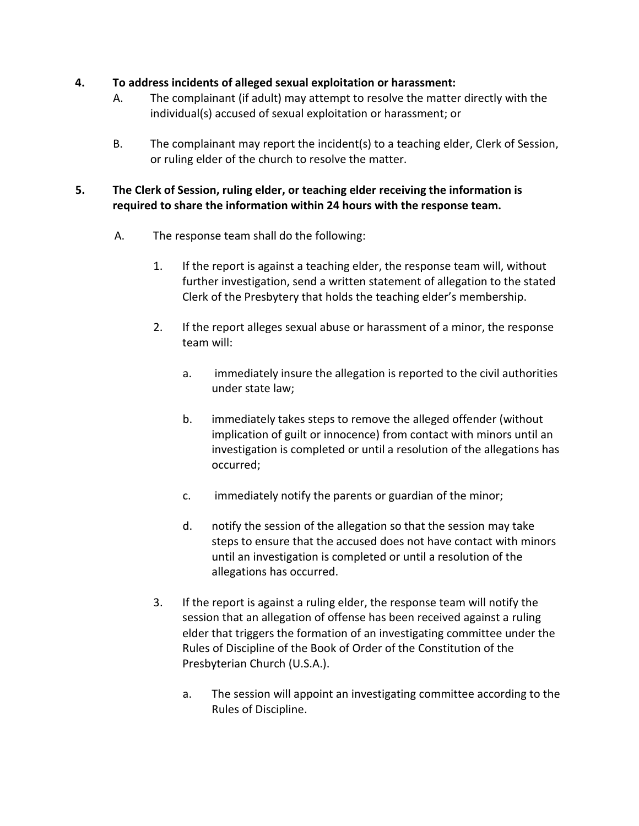## **4. To address incidents of alleged sexual exploitation or harassment:**

- A. The complainant (if adult) may attempt to resolve the matter directly with the individual(s) accused of sexual exploitation or harassment; or
- B. The complainant may report the incident(s) to a teaching elder, Clerk of Session, or ruling elder of the church to resolve the matter.

## **5. The Clerk of Session, ruling elder, or teaching elder receiving the information is required to share the information within 24 hours with the response team.**

- A. The response team shall do the following:
	- 1. If the report is against a teaching elder, the response team will, without further investigation, send a written statement of allegation to the stated Clerk of the Presbytery that holds the teaching elder's membership.
	- 2. If the report alleges sexual abuse or harassment of a minor, the response team will:
		- a. immediately insure the allegation is reported to the civil authorities under state law;
		- b. immediately takes steps to remove the alleged offender (without implication of guilt or innocence) from contact with minors until an investigation is completed or until a resolution of the allegations has occurred;
		- c. immediately notify the parents or guardian of the minor;
		- d. notify the session of the allegation so that the session may take steps to ensure that the accused does not have contact with minors until an investigation is completed or until a resolution of the allegations has occurred.
	- 3. If the report is against a ruling elder, the response team will notify the session that an allegation of offense has been received against a ruling elder that triggers the formation of an investigating committee under the Rules of Discipline of the Book of Order of the Constitution of the Presbyterian Church (U.S.A.).
		- a. The session will appoint an investigating committee according to the Rules of Discipline.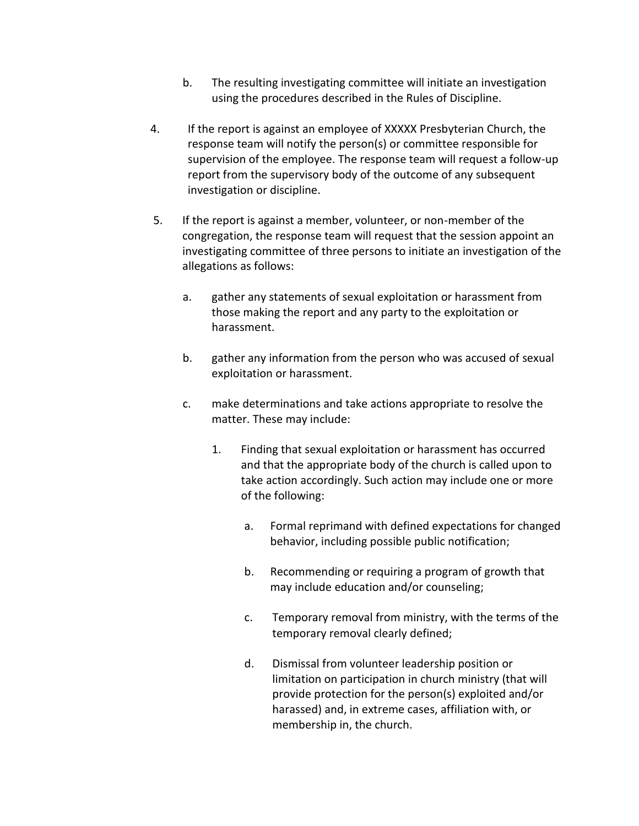- b. The resulting investigating committee will initiate an investigation using the procedures described in the Rules of Discipline.
- 4. If the report is against an employee of XXXXX Presbyterian Church, the response team will notify the person(s) or committee responsible for supervision of the employee. The response team will request a follow-up report from the supervisory body of the outcome of any subsequent investigation or discipline.
- 5. If the report is against a member, volunteer, or non-member of the congregation, the response team will request that the session appoint an investigating committee of three persons to initiate an investigation of the allegations as follows:
	- a. gather any statements of sexual exploitation or harassment from those making the report and any party to the exploitation or harassment.
	- b. gather any information from the person who was accused of sexual exploitation or harassment.
	- c. make determinations and take actions appropriate to resolve the matter. These may include:
		- 1. Finding that sexual exploitation or harassment has occurred and that the appropriate body of the church is called upon to take action accordingly. Such action may include one or more of the following:
			- a. Formal reprimand with defined expectations for changed behavior, including possible public notification;
			- b. Recommending or requiring a program of growth that may include education and/or counseling;
			- c. Temporary removal from ministry, with the terms of the temporary removal clearly defined;
			- d. Dismissal from volunteer leadership position or limitation on participation in church ministry (that will provide protection for the person(s) exploited and/or harassed) and, in extreme cases, affiliation with, or membership in, the church.